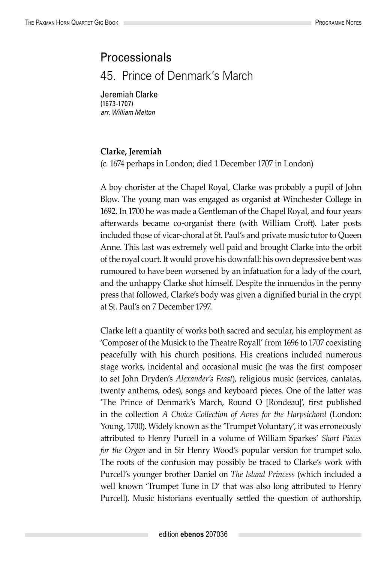## Processionals

45. Prince of Denmark's March

Jeremiah Clarke (1673-1707) *arr. William Melton*

## **Clarke, Jeremiah**

(c. 1674 perhaps in London; died 1 December 1707 in London)

A boy chorister at the Chapel Royal, Clarke was probably a pupil of John Blow. The young man was engaged as organist at Winchester College in 1692. In 1700 he was made a Gentleman of the Chapel Royal, and four years afterwards became co-organist there (with William Croft). Later posts included those of vicar-choral at St. Paul's and private music tutor to Queen Anne. This last was extremely well paid and brought Clarke into the orbit of the royal court. It would prove his downfall: his own depressive bent was rumoured to have been worsened by an infatuation for a lady of the court, and the unhappy Clarke shot himself. Despite the innuendos in the penny press that followed, Clarke's body was given a dignified burial in the crypt at St. Paul's on 7 December 1797.

Clarke left a quantity of works both sacred and secular, his employment as 'Composer of the Musick to the Theatre Royall' from 1696 to 1707 coexisting peacefully with his church positions. His creations included numerous stage works, incidental and occasional music (he was the first composer to set John Dryden's *Alexander's Feast*), religious music (services, cantatas, twenty anthems, odes), songs and keyboard pieces. One of the latter was 'The Prince of Denmark's March, Round O [Rondeau]', first published in the collection *A Choice Collection of Avres for the Harpsichord* (London: Young, 1700). Widely known as the 'Trumpet Voluntary', it was erroneously attributed to Henry Purcell in a volume of William Sparkes' *Short Pieces for the Organ* and in Sir Henry Wood's popular version for trumpet solo. The roots of the confusion may possibly be traced to Clarke's work with Purcell's younger brother Daniel on *The Island Princess* (which included a well known 'Trumpet Tune in D' that was also long attributed to Henry Purcell). Music historians eventually settled the question of authorship,